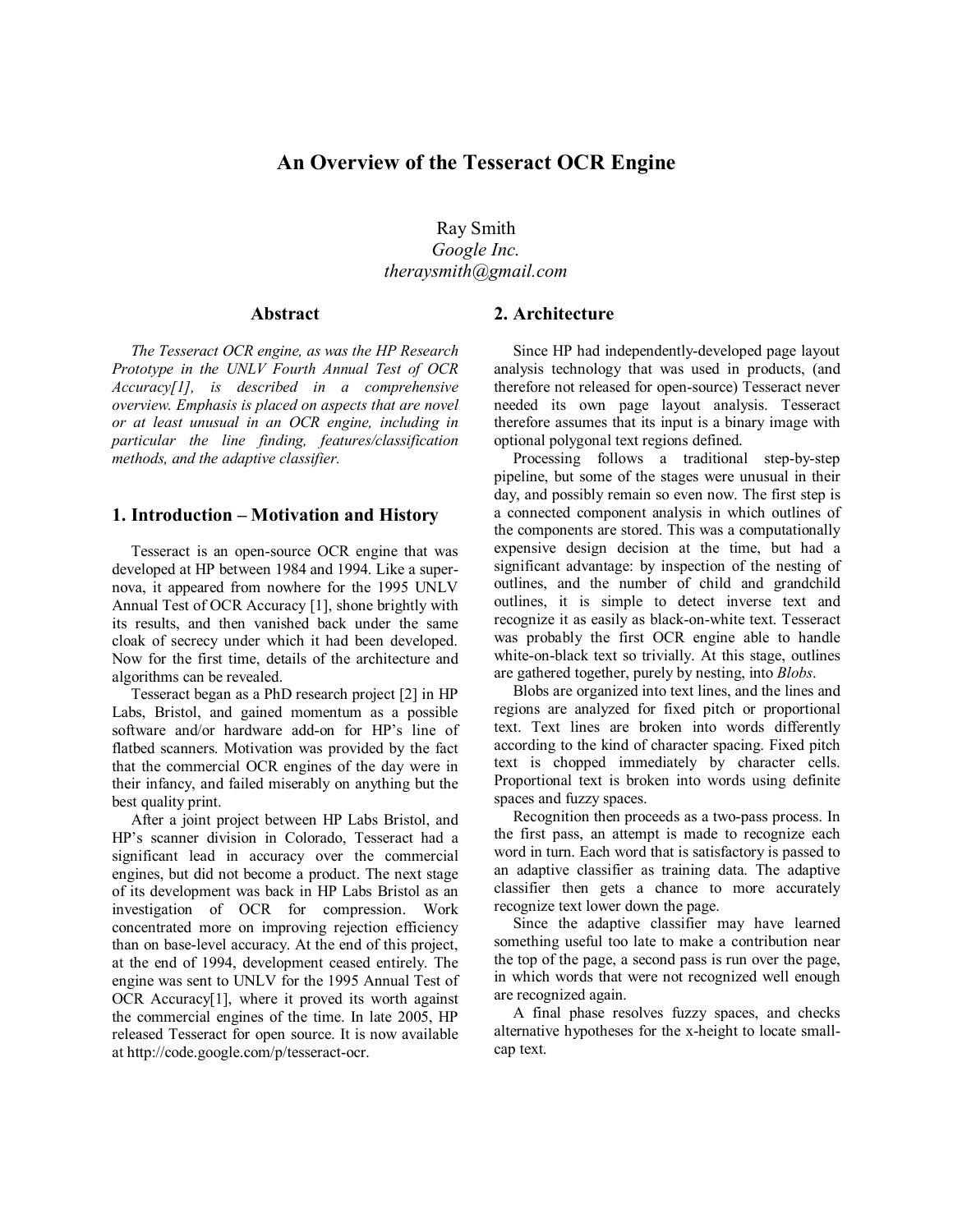# **An Overview of the Tesseract OCR Engine**

# Ray Smith *Google Inc. theraysmith@gmail.com*

### **Abstract**

*The Tesseract OCR engine, as was the HP Research Prototype in the UNLV Fourth Annual Test of OCR Accuracy[1], is described in a comprehensive overview. Emphasis is placed on aspects that are novel or at least unusual in an OCR engine, including in particular the line finding, features/classification methods, and the adaptive classifier.* 

## **1. Introduction – Motivation and History**

Tesseract is an open-source OCR engine that was developed at HP between 1984 and 1994. Like a supernova, it appeared from nowhere for the 1995 UNLV Annual Test of OCR Accuracy [1], shone brightly with its results, and then vanished back under the same cloak of secrecy under which it had been developed. Now for the first time, details of the architecture and algorithms can be revealed.

Tesseract began as a PhD research project [2] in HP Labs, Bristol, and gained momentum as a possible software and/or hardware add-on for HP's line of flatbed scanners. Motivation was provided by the fact that the commercial OCR engines of the day were in their infancy, and failed miserably on anything but the best quality print.

After a joint project between HP Labs Bristol, and HP's scanner division in Colorado, Tesseract had a significant lead in accuracy over the commercial engines, but did not become a product. The next stage of its development was back in HP Labs Bristol as an investigation of OCR for compression. Work concentrated more on improving rejection efficiency than on base-level accuracy. At the end of this project, at the end of 1994, development ceased entirely. The engine was sent to UNLV for the 1995 Annual Test of OCR Accuracy[1], where it proved its worth against the commercial engines of the time. In late 2005, HP released Tesseract for open source. It is now available at http://code.google.com/p/tesseract-ocr.

## **2. Architecture**

Since HP had independently-developed page layout analysis technology that was used in products, (and therefore not released for open-source) Tesseract never needed its own page layout analysis. Tesseract therefore assumes that its input is a binary image with optional polygonal text regions defined.

Processing follows a traditional step-by-step pipeline, but some of the stages were unusual in their day, and possibly remain so even now. The first step is a connected component analysis in which outlines of the components are stored. This was a computationally expensive design decision at the time, but had a significant advantage: by inspection of the nesting of outlines, and the number of child and grandchild outlines, it is simple to detect inverse text and recognize it as easily as black-on-white text. Tesseract was probably the first OCR engine able to handle white-on-black text so trivially. At this stage, outlines are gathered together, purely by nesting, into *Blobs*.

Blobs are organized into text lines, and the lines and regions are analyzed for fixed pitch or proportional text. Text lines are broken into words differently according to the kind of character spacing. Fixed pitch text is chopped immediately by character cells. Proportional text is broken into words using definite spaces and fuzzy spaces.

Recognition then proceeds as a two-pass process. In the first pass, an attempt is made to recognize each word in turn. Each word that is satisfactory is passed to an adaptive classifier as training data. The adaptive classifier then gets a chance to more accurately recognize text lower down the page.

Since the adaptive classifier may have learned something useful too late to make a contribution near the top of the page, a second pass is run over the page, in which words that were not recognized well enough are recognized again.

A final phase resolves fuzzy spaces, and checks alternative hypotheses for the x-height to locate smallcap text.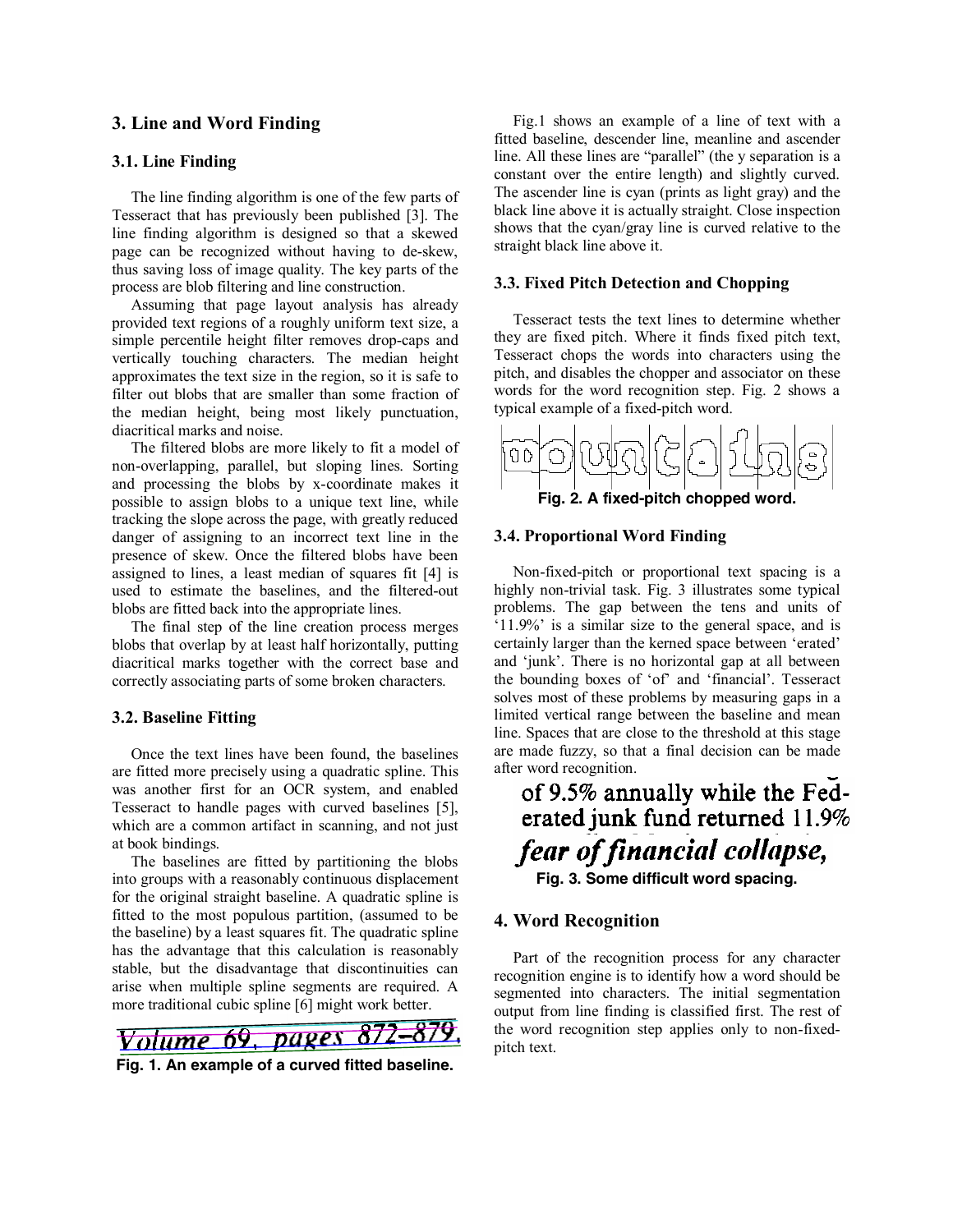## **3. Line and Word Finding**

## **3.1. Line Finding**

The line finding algorithm is one of the few parts of Tesseract that has previously been published [3]. The line finding algorithm is designed so that a skewed page can be recognized without having to de-skew, thus saving loss of image quality. The key parts of the process are blob filtering and line construction.

Assuming that page layout analysis has already provided text regions of a roughly uniform text size, a simple percentile height filter removes drop-caps and vertically touching characters. The median height approximates the text size in the region, so it is safe to filter out blobs that are smaller than some fraction of the median height, being most likely punctuation, diacritical marks and noise.

The filtered blobs are more likely to fit a model of non-overlapping, parallel, but sloping lines. Sorting and processing the blobs by x-coordinate makes it possible to assign blobs to a unique text line, while tracking the slope across the page, with greatly reduced danger of assigning to an incorrect text line in the presence of skew. Once the filtered blobs have been assigned to lines, a least median of squares fit [4] is used to estimate the baselines, and the filtered-out blobs are fitted back into the appropriate lines.

The final step of the line creation process merges blobs that overlap by at least half horizontally, putting diacritical marks together with the correct base and correctly associating parts of some broken characters.

## **3.2. Baseline Fitting**

Once the text lines have been found, the baselines are fitted more precisely using a quadratic spline. This was another first for an OCR system, and enabled Tesseract to handle pages with curved baselines [5], which are a common artifact in scanning, and not just at book bindings.

The baselines are fitted by partitioning the blobs into groups with a reasonably continuous displacement for the original straight baseline. A quadratic spline is fitted to the most populous partition, (assumed to be the baseline) by a least squares fit. The quadratic spline has the advantage that this calculation is reasonably stable, but the disadvantage that discontinuities can arise when multiple spline segments are required. A more traditional cubic spline [6] might work better.



**Fig. 1. An example of a curved fitted baseline.** 

Fig.1 shows an example of a line of text with a fitted baseline, descender line, meanline and ascender line. All these lines are "parallel" (the y separation is a constant over the entire length) and slightly curved. The ascender line is cyan (prints as light gray) and the black line above it is actually straight. Close inspection shows that the cyan/gray line is curved relative to the straight black line above it.

### **3.3. Fixed Pitch Detection and Chopping**

Tesseract tests the text lines to determine whether they are fixed pitch. Where it finds fixed pitch text, Tesseract chops the words into characters using the pitch, and disables the chopper and associator on these words for the word recognition step. Fig. 2 shows a typical example of a fixed-pitch word.



### **3.4. Proportional Word Finding**

Non-fixed-pitch or proportional text spacing is a highly non-trivial task. Fig. 3 illustrates some typical problems. The gap between the tens and units of '11.9%' is a similar size to the general space, and is certainly larger than the kerned space between 'erated' and 'junk'. There is no horizontal gap at all between the bounding boxes of 'of' and 'financial'. Tesseract solves most of these problems by measuring gaps in a limited vertical range between the baseline and mean line. Spaces that are close to the threshold at this stage are made fuzzy, so that a final decision can be made after word recognition.

of 9.5% annually while the Federated junk fund returned 11.9% fear of financial collapse, **Fig. 3. Some difficult word spacing.** 

### **4. Word Recognition**

Part of the recognition process for any character recognition engine is to identify how a word should be segmented into characters. The initial segmentation output from line finding is classified first. The rest of the word recognition step applies only to non-fixedpitch text.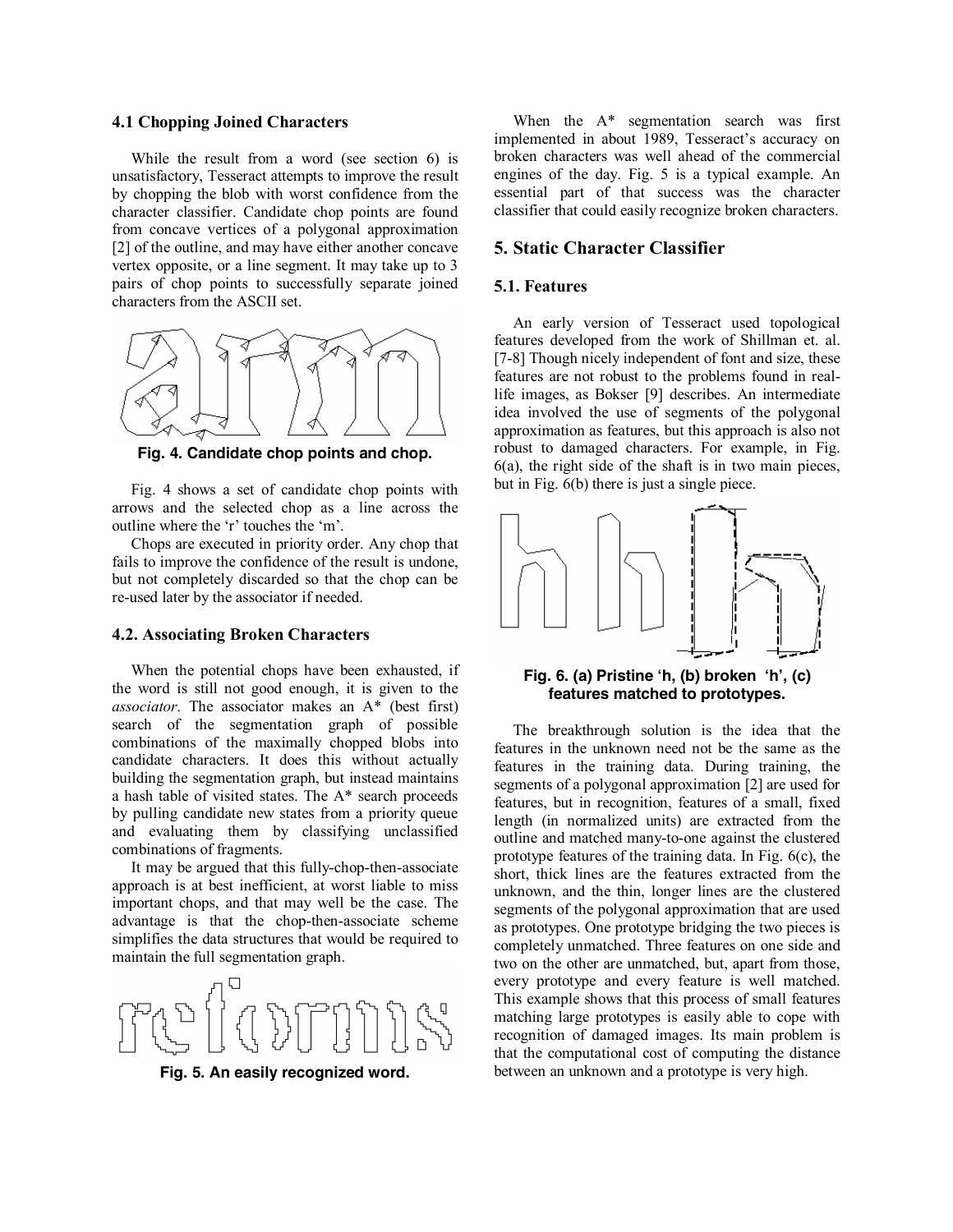#### **4.1 Chopping Joined Characters**

While the result from a word (see section 6) is unsatisfactory, Tesseract attempts to improve the result by chopping the blob with worst confidence from the character classifier. Candidate chop points are found from concave vertices of a polygonal approximation [2] of the outline, and may have either another concave vertex opposite, or a line segment. It may take up to 3 pairs of chop points to successfully separate joined characters from the ASCII set.



**Fig. 4. Candidate chop points and chop.** 

Fig. 4 shows a set of candidate chop points with arrows and the selected chop as a line across the outline where the 'r' touches the 'm'.

Chops are executed in priority order. Any chop that fails to improve the confidence of the result is undone, but not completely discarded so that the chop can be re-used later by the associator if needed.

#### **4.2. Associating Broken Characters**

When the potential chops have been exhausted, if the word is still not good enough, it is given to the *associator*. The associator makes an A\* (best first) search of the segmentation graph of possible combinations of the maximally chopped blobs into candidate characters. It does this without actually building the segmentation graph, but instead maintains a hash table of visited states. The A\* search proceeds by pulling candidate new states from a priority queue and evaluating them by classifying unclassified combinations of fragments.

It may be argued that this fully-chop-then-associate approach is at best inefficient, at worst liable to miss important chops, and that may well be the case. The advantage is that the chop-then-associate scheme simplifies the data structures that would be required to maintain the full segmentation graph.



**Fig. 5. An easily recognized word.** 

When the A\* segmentation search was first implemented in about 1989, Tesseract's accuracy on broken characters was well ahead of the commercial engines of the day. Fig. 5 is a typical example. An essential part of that success was the character classifier that could easily recognize broken characters.

## **5. Static Character Classifier**

#### **5.1. Features**

An early version of Tesseract used topological features developed from the work of Shillman et. al. [7-8] Though nicely independent of font and size, these features are not robust to the problems found in reallife images, as Bokser [9] describes. An intermediate idea involved the use of segments of the polygonal approximation as features, but this approach is also not robust to damaged characters. For example, in Fig.  $6(a)$ , the right side of the shaft is in two main pieces, but in Fig. 6(b) there is just a single piece.



**Fig. 6. (a) Pristine 'h, (b) broken 'h', (c) features matched to prototypes.** 

The breakthrough solution is the idea that the features in the unknown need not be the same as the features in the training data. During training, the segments of a polygonal approximation [2] are used for features, but in recognition, features of a small, fixed length (in normalized units) are extracted from the outline and matched many-to-one against the clustered prototype features of the training data. In Fig. 6(c), the short, thick lines are the features extracted from the unknown, and the thin, longer lines are the clustered segments of the polygonal approximation that are used as prototypes. One prototype bridging the two pieces is completely unmatched. Three features on one side and two on the other are unmatched, but, apart from those, every prototype and every feature is well matched. This example shows that this process of small features matching large prototypes is easily able to cope with recognition of damaged images. Its main problem is that the computational cost of computing the distance between an unknown and a prototype is very high.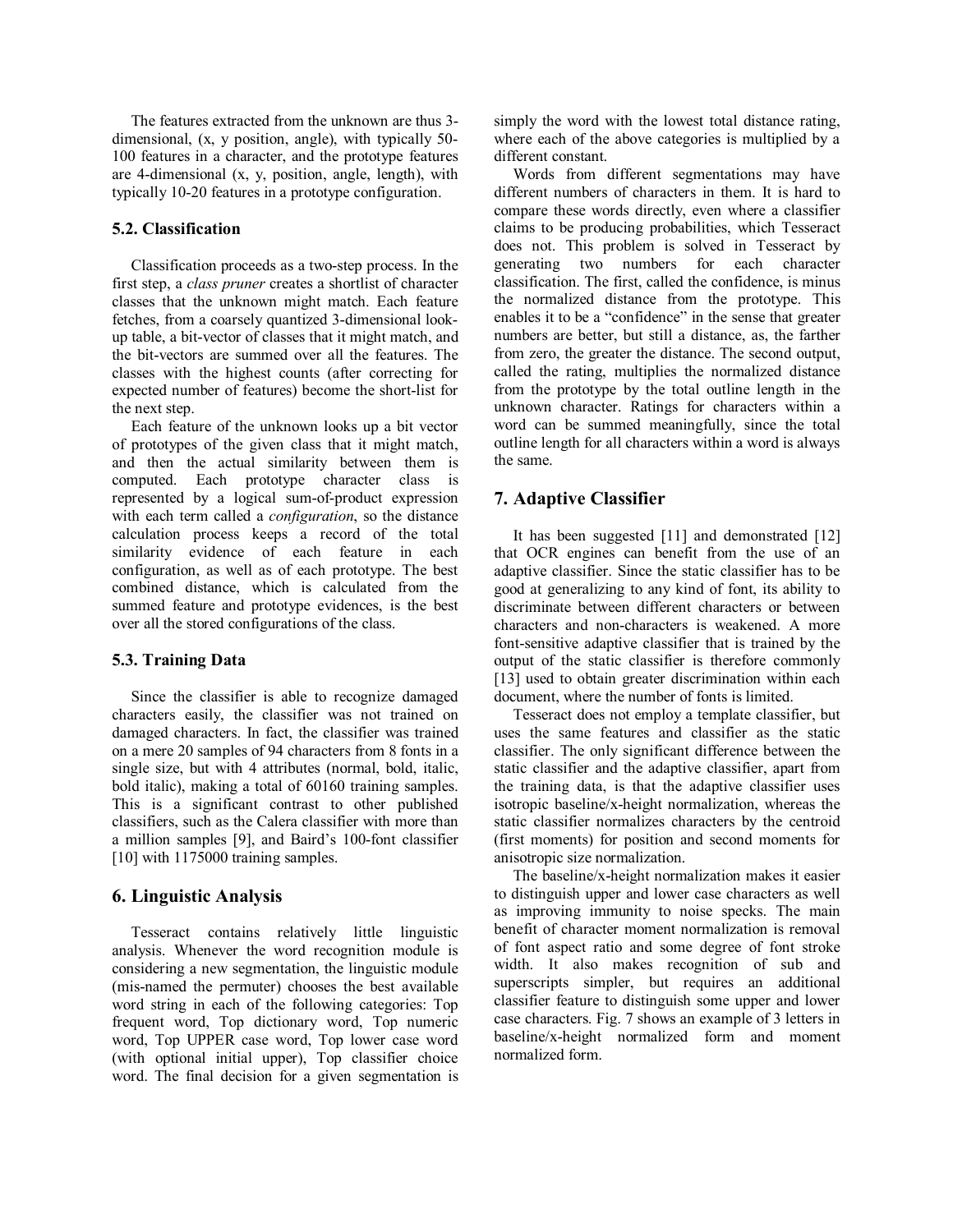The features extracted from the unknown are thus 3 dimensional, (x, y position, angle), with typically 50- 100 features in a character, and the prototype features are 4-dimensional (x, y, position, angle, length), with typically 10-20 features in a prototype configuration.

## **5.2. Classification**

Classification proceeds as a two-step process. In the first step, a *class pruner* creates a shortlist of character classes that the unknown might match. Each feature fetches, from a coarsely quantized 3-dimensional lookup table, a bit-vector of classes that it might match, and the bit-vectors are summed over all the features. The classes with the highest counts (after correcting for expected number of features) become the short-list for the next step.

Each feature of the unknown looks up a bit vector of prototypes of the given class that it might match, and then the actual similarity between them is computed. Each prototype character class is represented by a logical sum-of-product expression with each term called a *configuration*, so the distance calculation process keeps a record of the total similarity evidence of each feature in each configuration, as well as of each prototype. The best combined distance, which is calculated from the summed feature and prototype evidences, is the best over all the stored configurations of the class.

### **5.3. Training Data**

Since the classifier is able to recognize damaged characters easily, the classifier was not trained on damaged characters. In fact, the classifier was trained on a mere 20 samples of 94 characters from 8 fonts in a single size, but with 4 attributes (normal, bold, italic, bold italic), making a total of 60160 training samples. This is a significant contrast to other published classifiers, such as the Calera classifier with more than a million samples [9], and Baird's 100-font classifier [10] with 1175000 training samples.

## **6. Linguistic Analysis**

Tesseract contains relatively little linguistic analysis. Whenever the word recognition module is considering a new segmentation, the linguistic module (mis-named the permuter) chooses the best available word string in each of the following categories: Top frequent word, Top dictionary word, Top numeric word, Top UPPER case word, Top lower case word (with optional initial upper), Top classifier choice word. The final decision for a given segmentation is simply the word with the lowest total distance rating, where each of the above categories is multiplied by a different constant.

Words from different segmentations may have different numbers of characters in them. It is hard to compare these words directly, even where a classifier claims to be producing probabilities, which Tesseract does not. This problem is solved in Tesseract by generating two numbers for each character classification. The first, called the confidence, is minus the normalized distance from the prototype. This enables it to be a "confidence" in the sense that greater numbers are better, but still a distance, as, the farther from zero, the greater the distance. The second output, called the rating, multiplies the normalized distance from the prototype by the total outline length in the unknown character. Ratings for characters within a word can be summed meaningfully, since the total outline length for all characters within a word is always the same.

## **7. Adaptive Classifier**

It has been suggested [11] and demonstrated [12] that OCR engines can benefit from the use of an adaptive classifier. Since the static classifier has to be good at generalizing to any kind of font, its ability to discriminate between different characters or between characters and non-characters is weakened. A more font-sensitive adaptive classifier that is trained by the output of the static classifier is therefore commonly [13] used to obtain greater discrimination within each document, where the number of fonts is limited.

Tesseract does not employ a template classifier, but uses the same features and classifier as the static classifier. The only significant difference between the static classifier and the adaptive classifier, apart from the training data, is that the adaptive classifier uses isotropic baseline/x-height normalization, whereas the static classifier normalizes characters by the centroid (first moments) for position and second moments for anisotropic size normalization.

The baseline/x-height normalization makes it easier to distinguish upper and lower case characters as well as improving immunity to noise specks. The main benefit of character moment normalization is removal of font aspect ratio and some degree of font stroke width. It also makes recognition of sub and superscripts simpler, but requires an additional classifier feature to distinguish some upper and lower case characters. Fig. 7 shows an example of 3 letters in baseline/x-height normalized form and moment normalized form.